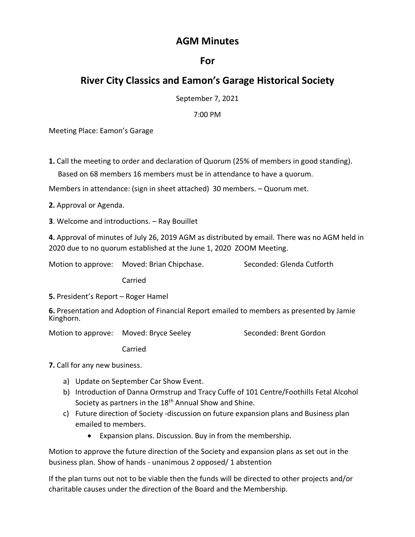## **AGM Minutes**

## **For**

## **River City Classics and Eamon's Garage Historical Society**

September 7, 2021

7:00 PM

Meeting Place: Eamon's Garage

**1.** Call the meeting to order and declaration of Quorum (25% of members in good standing). Based on 68 members 16 members must be in attendance to have a quorum.

Members in attendance: (sign in sheet attached) 30 members. – Quorum met.

**2.** Approval or Agenda.

**3**. Welcome and introductions. – Ray Bouillet

**4.** Approval of minutes of July 26, 2019 AGM as distributed by email. There was no AGM held in 2020 due to no quorum established at the June 1, 2020 ZOOM Meeting.

Motion to approve: Moved: Brian Chipchase. Seconded: Glenda Cutforth

Carried

**5.** President's Report – Roger Hamel

**6.** Presentation and Adoption of Financial Report emailed to members as presented by Jamie Kinghorn.

Motion to approve: Moved: Bryce Seeley Seconded: Brent Gordon

Carried

**7.** Call for any new business.

- a) Update on September Car Show Event.
- b) Introduction of Danna Ormstrup and Tracy Cuffe of 101 Centre/Foothills Fetal Alcohol Society as partners in the 18<sup>th</sup> Annual Show and Shine.
- c) Future direction of Society -discussion on future expansion plans and Business plan emailed to members.
	- Expansion plans. Discussion. Buy in from the membership.

Motion to approve the future direction of the Society and expansion plans as set out in the business plan. Show of hands - unanimous 2 opposed/ 1 abstention

If the plan turns out not to be viable then the funds will be directed to other projects and/or charitable causes under the direction of the Board and the Membership.